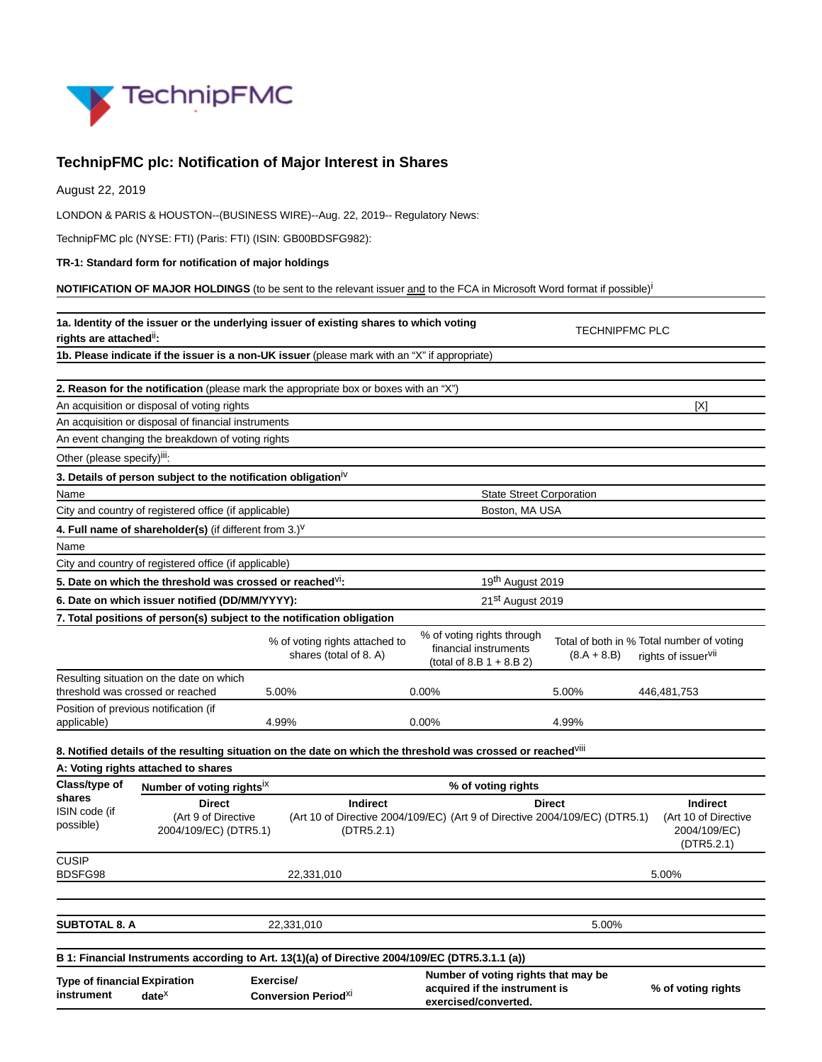

## **TechnipFMC plc: Notification of Major Interest in Shares**

August 22, 2019

LONDON & PARIS & HOUSTON--(BUSINESS WIRE)--Aug. 22, 2019-- Regulatory News:

TechnipFMC plc (NYSE: FTI) (Paris: FTI) (ISIN: GB00BDSFG982):

**TR-1: Standard form for notification of major holdings**

**NOTIFICATION OF MAJOR HOLDINGS** (to be sent to the relevant issuer and to the FCA in Microsoft Word format if possible)<sup>i</sup>

| 1a. Identity of the issuer or the underlying issuer of existing shares to which voting<br>rights are attached":                                                                    |                                                                                                |                                                          |                                                                                              | <b>TECHNIPFMC PLC</b>                                                                                                    |                                                                       |                                                                              |  |
|------------------------------------------------------------------------------------------------------------------------------------------------------------------------------------|------------------------------------------------------------------------------------------------|----------------------------------------------------------|----------------------------------------------------------------------------------------------|--------------------------------------------------------------------------------------------------------------------------|-----------------------------------------------------------------------|------------------------------------------------------------------------------|--|
|                                                                                                                                                                                    | 1b. Please indicate if the issuer is a non-UK issuer (please mark with an "X" if appropriate)  |                                                          |                                                                                              |                                                                                                                          |                                                                       |                                                                              |  |
|                                                                                                                                                                                    |                                                                                                |                                                          |                                                                                              |                                                                                                                          |                                                                       |                                                                              |  |
|                                                                                                                                                                                    | 2. Reason for the notification (please mark the appropriate box or boxes with an "X")          |                                                          |                                                                                              |                                                                                                                          |                                                                       |                                                                              |  |
|                                                                                                                                                                                    | An acquisition or disposal of voting rights                                                    |                                                          |                                                                                              |                                                                                                                          |                                                                       | [X]                                                                          |  |
|                                                                                                                                                                                    | An acquisition or disposal of financial instruments                                            |                                                          |                                                                                              |                                                                                                                          |                                                                       |                                                                              |  |
|                                                                                                                                                                                    | An event changing the breakdown of voting rights                                               |                                                          |                                                                                              |                                                                                                                          |                                                                       |                                                                              |  |
| Other (please specify) <sup>iii</sup> :                                                                                                                                            |                                                                                                |                                                          |                                                                                              |                                                                                                                          |                                                                       |                                                                              |  |
|                                                                                                                                                                                    | 3. Details of person subject to the notification obligation <sup>iv</sup>                      |                                                          |                                                                                              |                                                                                                                          |                                                                       |                                                                              |  |
| Name                                                                                                                                                                               |                                                                                                |                                                          |                                                                                              | <b>State Street Corporation</b>                                                                                          |                                                                       |                                                                              |  |
|                                                                                                                                                                                    | City and country of registered office (if applicable)                                          |                                                          |                                                                                              | Boston, MA USA                                                                                                           |                                                                       |                                                                              |  |
|                                                                                                                                                                                    | 4. Full name of shareholder(s) (if different from 3.) <sup>V</sup>                             |                                                          |                                                                                              |                                                                                                                          |                                                                       |                                                                              |  |
| Name                                                                                                                                                                               |                                                                                                |                                                          |                                                                                              |                                                                                                                          |                                                                       |                                                                              |  |
|                                                                                                                                                                                    | City and country of registered office (if applicable)                                          |                                                          |                                                                                              |                                                                                                                          |                                                                       |                                                                              |  |
| 5. Date on which the threshold was crossed or reached <sup>VI</sup> :                                                                                                              |                                                                                                |                                                          |                                                                                              | 19 <sup>th</sup> August 2019                                                                                             |                                                                       |                                                                              |  |
|                                                                                                                                                                                    | 6. Date on which issuer notified (DD/MM/YYYY):                                                 |                                                          |                                                                                              | 21 <sup>st</sup> August 2019                                                                                             |                                                                       |                                                                              |  |
|                                                                                                                                                                                    | 7. Total positions of person(s) subject to the notification obligation                         |                                                          |                                                                                              |                                                                                                                          |                                                                       |                                                                              |  |
|                                                                                                                                                                                    |                                                                                                | % of voting rights attached to<br>shares (total of 8. A) |                                                                                              | % of voting rights through<br>financial instruments<br>(total of 8.B $1 + 8.B 2$ )                                       | $(8.A + 8.B)$                                                         | Total of both in % Total number of voting<br>rights of issuer <sup>vii</sup> |  |
|                                                                                                                                                                                    | Resulting situation on the date on which                                                       |                                                          |                                                                                              |                                                                                                                          |                                                                       |                                                                              |  |
|                                                                                                                                                                                    | threshold was crossed or reached<br>Position of previous notification (if                      | 5.00%                                                    |                                                                                              | 0.00%                                                                                                                    | 5.00%                                                                 | 446,481,753                                                                  |  |
| applicable)                                                                                                                                                                        |                                                                                                | 4.99%                                                    |                                                                                              | 0.00%                                                                                                                    | 4.99%                                                                 |                                                                              |  |
|                                                                                                                                                                                    |                                                                                                |                                                          |                                                                                              | 8. Notified details of the resulting situation on the date on which the threshold was crossed or reached <sup>Viii</sup> |                                                                       |                                                                              |  |
|                                                                                                                                                                                    | A: Voting rights attached to shares                                                            |                                                          |                                                                                              |                                                                                                                          |                                                                       |                                                                              |  |
| Class/type of                                                                                                                                                                      | Number of voting rightsix                                                                      |                                                          |                                                                                              | % of voting rights                                                                                                       |                                                                       |                                                                              |  |
| shares<br>ISIN code (if<br>possible)                                                                                                                                               | <b>Direct</b><br><b>Indirect</b><br>(Art 9 of Directive<br>2004/109/EC) (DTR5.1)<br>(DTR5.2.1) |                                                          | <b>Direct</b><br>(Art 10 of Directive 2004/109/EC) (Art 9 of Directive 2004/109/EC) (DTR5.1) |                                                                                                                          | <b>Indirect</b><br>(Art 10 of Directive<br>2004/109/EC)<br>(DTR5.2.1) |                                                                              |  |
| <b>CUSIP</b><br>BDSFG98                                                                                                                                                            |                                                                                                | 22,331,010                                               |                                                                                              |                                                                                                                          |                                                                       | 5.00%                                                                        |  |
|                                                                                                                                                                                    |                                                                                                |                                                          |                                                                                              |                                                                                                                          |                                                                       |                                                                              |  |
| <b>SUBTOTAL 8. A</b><br>22,331,010                                                                                                                                                 |                                                                                                |                                                          | 5.00%                                                                                        |                                                                                                                          |                                                                       |                                                                              |  |
|                                                                                                                                                                                    |                                                                                                |                                                          |                                                                                              |                                                                                                                          |                                                                       |                                                                              |  |
| B 1: Financial Instruments according to Art. 13(1)(a) of Directive 2004/109/EC (DTR5.3.1.1 (a))<br>Exercise/<br><b>Type of financial Expiration</b><br>instrument<br>$date^{\chi}$ |                                                                                                | <b>Conversion PeriodXI</b>                               |                                                                                              | Number of voting rights that may be<br>acquired if the instrument is<br>exercised/converted.                             |                                                                       | % of voting rights                                                           |  |